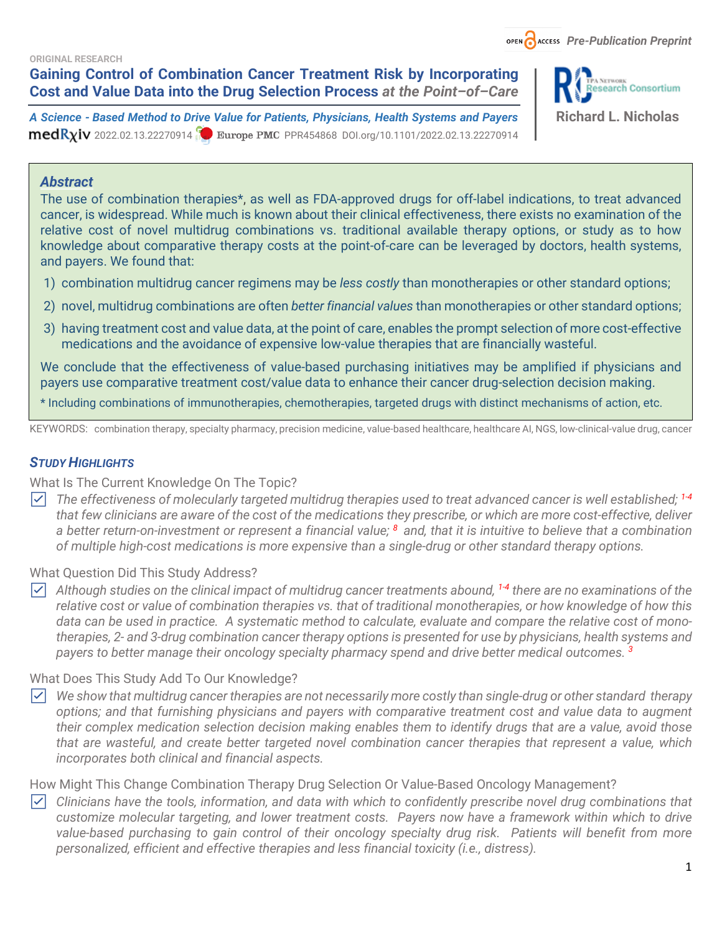**ORIGINAL RESEARCH**

**Gaining Control of Combination Cancer Treatment Risk by Incorporating Cost and Value Data into the Drug Selection Process** *at the Point–of–Care*

*A Science - Based Method to Drive Value for Patients, Physicians, Health Systems and Payers* **Richard L. Nicholas**  $medR_{X}$ iv 2022.02.13.22270914 **Purope PMC** PPR454868 DOI.org/10.1101/2022.02.13.22270914



#### *Abstract*

The use of combination therapies\*, as well as FDA-approved drugs for off-label indications, to treat advanced cancer, is widespread. While much is known about their clinical effectiveness, there exists no examination of the relative cost of novel multidrug combinations vs. traditional available therapy options, or study as to how knowledge about comparative therapy costs at the point-of-care can be leveraged by doctors, health systems, and payers. We found that:

- 1) combination multidrug cancer regimens may be *less costly* than monotherapies or other standard options;
- 2) novel, multidrug combinations are often *better financial values* than monotherapies or other standard options;
- 3) having treatment cost and value data, at the point of care, enables the prompt selection of more cost-effective medications and the avoidance of expensive low-value therapies that are financially wasteful.

We conclude that the effectiveness of value-based purchasing initiatives may be amplified if physicians and payers use comparative treatment cost/value data to enhance their cancer drug-selection decision making.

\* Including combinations of immunotherapies, chemotherapies, targeted drugs with distinct mechanisms of action, etc.

KEYWORDS: combination therapy, specialty pharmacy, precision medicine, value-based healthcare, healthcare AI, NGS, low-clinical-value drug, cancer

### **STUDY HIGHLIGHTS**

What Is The Current Knowledge On The Topic?

☑ *The effectiveness of molecularly targeted multidrug therapies used to treat advanced cancer is well established; 1-4 that few clinicians are aware of the cost of the medications they prescribe, or which are more cost-effective, deliver a better return-on-investment or represent a financial value; <sup>8</sup>and, that it is intuitive to believe that a combination of multiple high-cost medications is more expensive than a single-drug or other standard therapy options.*

What Question Did This Study Address?

☑ *Although studies on the clinical impact of multidrug cancer treatments abound, 1-4 there are no examinations of the relative cost or value of combination therapies vs. that of traditional monotherapies, or how knowledge of how this data can be used in practice. A systematic method to calculate, evaluate and compare the relative cost of monotherapies, 2- and 3-drug combination cancer therapy options is presented for use by physicians, health systems and payers to better manage their oncology specialty pharmacy spend and drive better medical outcomes. <sup>3</sup>*

#### What Does This Study Add To Our Knowledge?

☑ *We show that multidrug cancer therapies are not necessarily more costly than single-drug or other standard therapy options; and that furnishing physicians and payers with comparative treatment cost and value data to augment their complex medication selection decision making enables them to identify drugs that are a value, avoid those that are wasteful, and create better targeted novel combination cancer therapies that represent a value, which incorporates both clinical and financial aspects.*

How Might This Change Combination Therapy Drug Selection Or Value-Based Oncology Management?

☑ *Clinicians have the tools, information, and data with which to confidently prescribe novel drug combinations that customize molecular targeting, and lower treatment costs. Payers now have a framework within which to drive value-based purchasing to gain control of their oncology specialty drug risk. Patients will benefit from more personalized, efficient and effective therapies and less financial toxicity (i.e., distress).*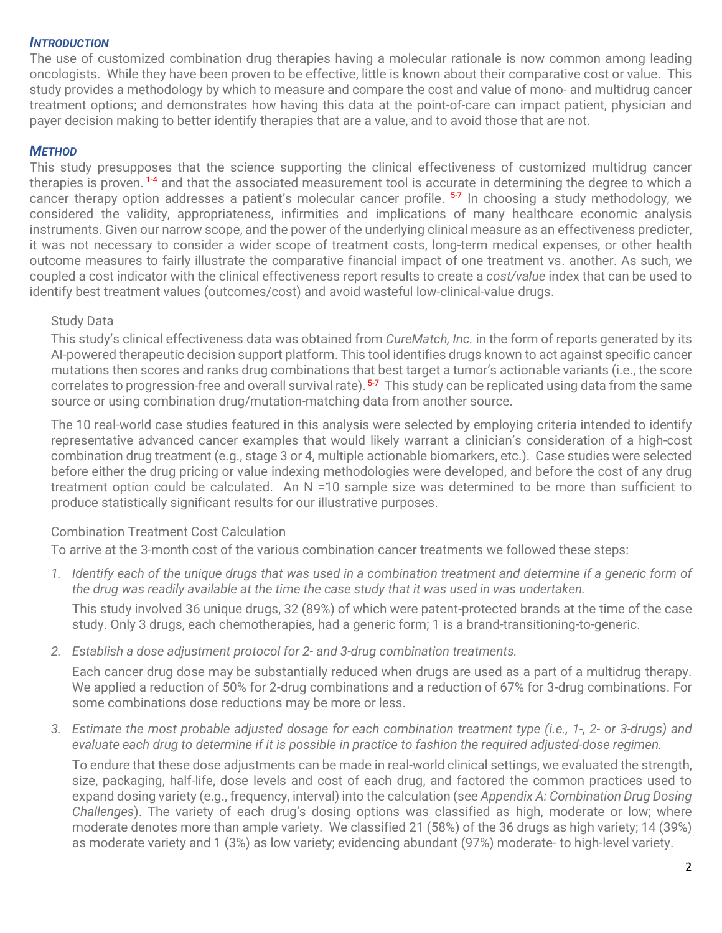### *INTRODUCTION*

The use of customized combination drug therapies having a molecular rationale is now common among leading oncologists. While they have been proven to be effective, little is known about their comparative cost or value. This study provides a methodology by which to measure and compare the cost and value of mono- and multidrug cancer treatment options; and demonstrates how having this data at the point-of-care can impact patient, physician and payer decision making to better identify therapies that are a value, and to avoid those that are not.

# *METHOD*

This study presupposes that the science supporting the clinical effectiveness of customized multidrug cancer therapies is proven.<sup>1-4</sup> and that the associated measurement tool is accurate in determining the degree to which a cancer therapy option addresses a patient's molecular cancer profile. <sup>5-7</sup> In choosing a study methodology, we considered the validity, appropriateness, infirmities and implications of many healthcare economic analysis instruments. Given our narrow scope, and the power of the underlying clinical measure as an effectiveness predicter, it was not necessary to consider a wider scope of treatment costs, long-term medical expenses, or other health outcome measures to fairly illustrate the comparative financial impact of one treatment vs. another. As such, we coupled a cost indicator with the clinical effectiveness report results to create a *cost/value* index that can be used to identify best treatment values (outcomes/cost) and avoid wasteful low-clinical-value drugs.

# Study Data

This study's clinical effectiveness data was obtained from *CureMatch, Inc.* in the form of reports generated by its AI-powered therapeutic decision support platform. This tool identifies drugs known to act against specific cancer mutations then scores and ranks drug combinations that best target a tumor's actionable variants (i.e., the score correlates to progression-free and overall survival rate). <sup>5-7</sup> This study can be replicated using data from the same source or using combination drug/mutation-matching data from another source.

The 10 real-world case studies featured in this analysis were selected by employing criteria intended to identify representative advanced cancer examples that would likely warrant a clinician's consideration of a high-cost combination drug treatment (e.g., stage 3 or 4, multiple actionable biomarkers, etc.). Case studies were selected before either the drug pricing or value indexing methodologies were developed, and before the cost of any drug treatment option could be calculated. An N =10 sample size was determined to be more than sufficient to produce statistically significant results for our illustrative purposes.

# Combination Treatment Cost Calculation

To arrive at the 3-month cost of the various combination cancer treatments we followed these steps:

*1. Identify each of the unique drugs that was used in a combination treatment and determine if a generic form of the drug was readily available at the time the case study that it was used in was undertaken.*

This study involved 36 unique drugs, 32 (89%) of which were patent-protected brands at the time of the case study. Only 3 drugs, each chemotherapies, had a generic form; 1 is a brand-transitioning-to-generic.

*2. Establish a dose adjustment protocol for 2- and 3-drug combination treatments.*

Each cancer drug dose may be substantially reduced when drugs are used as a part of a multidrug therapy. We applied a reduction of 50% for 2-drug combinations and a reduction of 67% for 3-drug combinations. For some combinations dose reductions may be more or less.

#### *3. Estimate the most probable adjusted dosage for each combination treatment type (i.e., 1-, 2- or 3-drugs) and evaluate each drug to determine if it is possible in practice to fashion the required adjusted-dose regimen.*

To endure that these dose adjustments can be made in real-world clinical settings, we evaluated the strength, size, packaging, half-life, dose levels and cost of each drug, and factored the common practices used to expand dosing variety (e.g., frequency, interval) into the calculation (see *Appendix A: Combination Drug Dosing Challenges*). The variety of each drug's dosing options was classified as high, moderate or low; where moderate denotes more than ample variety. We classified 21 (58%) of the 36 drugs as high variety; 14 (39%) as moderate variety and 1 (3%) as low variety; evidencing abundant (97%) moderate- to high-level variety.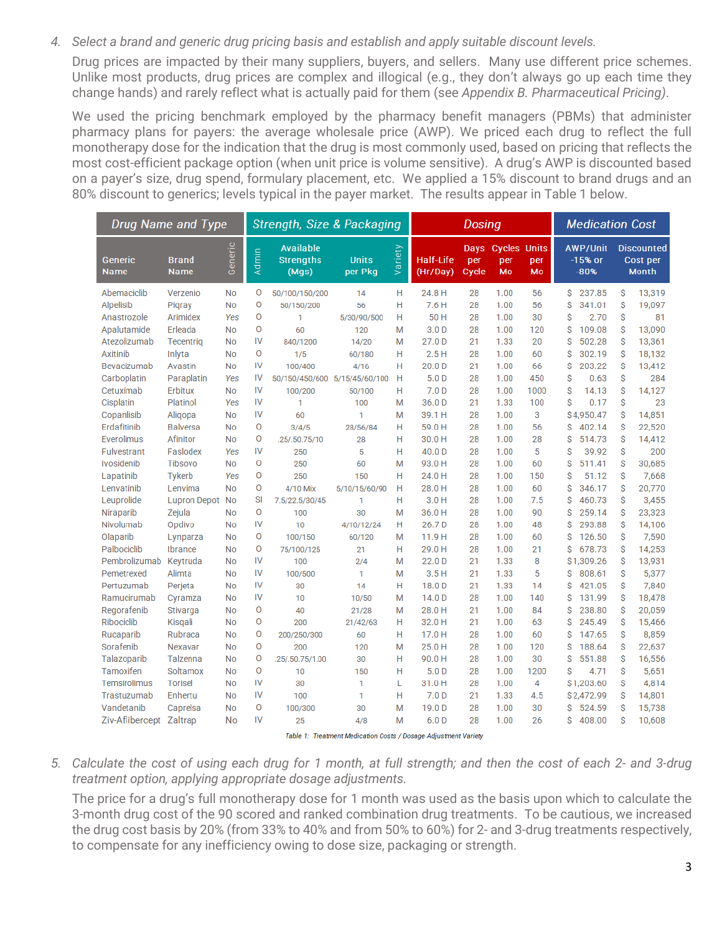*4. Select a brand and generic drug pricing basis and establish and apply suitable discount levels.*

Drug prices are impacted by their many suppliers, buyers, and sellers. Many use different price schemes. Unlike most products, drug prices are complex and illogical (e.g., they don't always go up each time they change hands) and rarely reflect what is actually paid for them (see *Appendix B. Pharmaceutical Pricing)*.

We used the pricing benchmark employed by the pharmacy benefit managers (PBMs) that administer pharmacy plans for payers: the average wholesale price (AWP). We priced each drug to reflect the full monotherapy dose for the indication that the drug is most commonly used, based on pricing that reflects the most cost-efficient package option (when unit price is volume sensitive). A drug's AWP is discounted based on a payer's size, drug spend, formulary placement, etc. We applied a 15% discount to brand drugs and an 80% discount to generics; levels typical in the payer market. The results appear in Table 1 below.

| <b>Drug Name and Type</b> |                             | <b>Strength, Size &amp; Packaging</b> |          |                                               |                         | <b>Dosing</b> |                       |                      |                                  | <b>Medication Cost</b> |   |                                        |   |                                               |
|---------------------------|-----------------------------|---------------------------------------|----------|-----------------------------------------------|-------------------------|---------------|-----------------------|----------------------|----------------------------------|------------------------|---|----------------------------------------|---|-----------------------------------------------|
| Generic<br><b>Name</b>    | <b>Brand</b><br><b>Name</b> | Generic                               | Admin    | <b>Available</b><br><b>Strengths</b><br>(Mqs) | <b>Units</b><br>per Pkg | Variety       | Half-Life<br>(Hr/Day) | Days<br>per<br>Cycle | <b>Cycles Units</b><br>per<br>Mo | per<br>Mo              |   | <b>AWP/Unit</b><br>$-15%$ or<br>$-80%$ |   | <b>Discounted</b><br>Cost per<br><b>Month</b> |
| Abemaciclib               | Verzenio                    | <b>No</b>                             | 0        | 50/100/150/200                                | 14                      | н             | 24.8 H                | 28                   | 1.00                             | 56                     | S | 237.85                                 | Ŝ | 13,319                                        |
| Alpelisib                 | Pigray                      | <b>No</b>                             | $\circ$  | 50/150/200                                    | 56                      | н             | 7.6H                  | 28                   | 1.00                             | 56                     | Ŝ | 341.01                                 | S | 19,097                                        |
| Anastrozole               | Arimidex                    | Yes                                   | O        | 1                                             | 5/30/90/500             | н             | 50 H                  | 28                   | 1.00                             | 30                     | S | 2.70                                   | Ŝ | 81                                            |
| Apalutamide               | Erleada                     | <b>No</b>                             | $\Omega$ | 60                                            | 120                     | M             | 3.0 <sub>D</sub>      | 28                   | 1.00                             | 120                    | Ŝ | 109.08                                 | Ŝ | 13,090                                        |
| Atezolizumab              | Tecentrig                   | <b>No</b>                             | IV       | 840/1200                                      | 14/20                   | M             | 27.0 D                | 21                   | 1.33                             | 20                     | S | 502.28                                 | S | 13,361                                        |
| Axitinib                  | Inlyta                      | <b>No</b>                             | O        | 1/5                                           | 60/180                  | н             | 2.5H                  | 28                   | 1.00                             | 60                     | Ŝ | 302.19                                 | Ŝ | 18,132                                        |
| Bevacizumab               | Avastin                     | <b>No</b>                             | IV       | 100/400                                       | 4/16                    | н             | 20.0 D                | 21                   | 1.00                             | 66                     | Ŝ | 203.22                                 | S | 13,412                                        |
| Carboplatin               | Paraplatin                  | Yes                                   | IV       | 50/150/450/600 5/15/45/60/100                 |                         | H             | 5.0 <sub>D</sub>      | 28                   | 1.00                             | 450                    | Ś | 0.63                                   | Ŝ | 284                                           |
| Cetuximab                 | Erbitux                     | <b>No</b>                             | IV       | 100/200                                       | 50/100                  | н             | 7.0 <sub>D</sub>      | 28                   | 1.00                             | 1000                   | Ŝ | 14.13                                  | Ŝ | 14,127                                        |
| Cisplatin                 | Platinol                    | Yes                                   | IV       | 1                                             | 100                     | M             | 36.0 D                | 21                   | 1.33                             | 100                    | Ś | 0.17                                   | Ŝ | 23                                            |
| Copanlisib                | Aligopa                     | <b>No</b>                             | IV       | 60                                            | 1                       | M             | 39.1 H                | 28                   | 1.00                             | 3                      |   | \$4,950.47                             | Ŝ | 14,851                                        |
| Erdafitinib               | <b>Balversa</b>             | <b>No</b>                             | O        | 3/4/5                                         | 28/56/84                | н             | 59.0H                 | 28                   | 1.00                             | 56                     | S | 402.14                                 | Ŝ | 22,520                                        |
| Everolimus                | Afinitor                    | <b>No</b>                             | O        | .25/.50.75/10                                 | 28                      | н             | 30.0H                 | 28                   | 1.00                             | 28                     | Ŝ | 514.73                                 | Ŝ | 14.412                                        |
| Fulvestrant               | Faslodex                    | Yes                                   | IV       | 250                                           | 5                       | н             | 40.0 D                | 28                   | 1.00                             | 5                      | S | 39.92                                  | Ŝ | 200                                           |
| <b>Ivosidenib</b>         | <b>Tibsovo</b>              | <b>No</b>                             | 0        | 250                                           | 60                      | M             | 93.0H                 | 28                   | 1.00                             | 60                     | S | 511.41                                 | Ŝ | 30,685                                        |
| Lapatinib                 | <b>Tykerb</b>               | Yes                                   | O        | 250                                           | 150                     | н             | 24.0H                 | 28                   | 1.00                             | 150                    | Ŝ | 51.12                                  | Ŝ | 7,668                                         |
| Lenvatinib                | Lenvima                     | <b>No</b>                             | O        | 4/10 Mix                                      | 5/10/15/60/90           | н             | 28.0H                 | 28                   | 1.00                             | 60                     | S | 346.17                                 | S | 20,770                                        |
| Leuprolide                | <b>Lupron Depot</b>         | <b>No</b>                             | SI       | 7.5/22.5/30/45                                | 1                       | н             | 3.0H                  | 28                   | 1.00                             | 7.5                    | Ŝ | 460.73                                 | Ŝ | 3,455                                         |
| Niraparib                 | Zejula                      | <b>No</b>                             | $\circ$  | 100                                           | 30                      | M             | 36.0H                 | 28                   | 1.00                             | 90                     | S | 259.14                                 | Ŝ | 23,323                                        |
| Nivolumab                 | Opdivo                      | <b>No</b>                             | IV       | 10                                            | 4/10/12/24              | н             | 26.7D                 | 28                   | 1.00                             | 48                     | Ŝ | 293.88                                 | Ŝ | 14,106                                        |
| Olaparib                  | Lynparza                    | <b>No</b>                             | O        | 100/150                                       | 60/120                  | M             | 11.9H                 | 28                   | 1.00                             | 60                     | Ŝ | 126.50                                 | Ŝ | 7,590                                         |
| Palbociclib               | <b>Ibrance</b>              | <b>No</b>                             | O        | 75/100/125                                    | 21                      | н             | 29.0H                 | 28                   | 1.00                             | 21                     | S | 678.73                                 | S | 14,253                                        |
| Pembrolizumab             | Keytruda                    | <b>No</b>                             | IV       | 100                                           | 2/4                     | M             | 22.0 D                | 21                   | 1.33                             | 8                      |   | \$1,309.26                             | Ŝ | 13,931                                        |
| Pemetrexed                | Alimta                      | <b>No</b>                             | IV       | 100/500                                       | 1                       | M             | 3.5H                  | 21                   | 1.33                             | 5                      | Ŝ | 808.61                                 | Ŝ | 5,377                                         |
| Pertuzumab                | Perjeta                     | <b>No</b>                             | IV       | 30                                            | 14                      | н             | 18.0 D                | 21                   | 1.33                             | 14                     | Ś | 421.05                                 | Ŝ | 7,840                                         |
| Ramucirumab               | Cyramza                     | <b>No</b>                             | IV       | 10                                            | 10/50                   | M             | 14.0 <sub>D</sub>     | 28                   | 1.00                             | 140                    | Ŝ | 131.99                                 | Ŝ | 18,478                                        |
| Regorafenib               | Stivarga                    | <b>No</b>                             | O        | 40                                            | 21/28                   | M             | 28.0H                 | 21                   | 1.00                             | 84                     | S | 238.80                                 | Ŝ | 20,059                                        |
| Ribociclib                | Kisqali                     | <b>No</b>                             | 0        | 200                                           | 21/42/63                | н             | 32.0H                 | 21                   | 1.00                             | 63                     | Ŝ | 245.49                                 | Ŝ | 15,466                                        |
| Rucaparib                 | Rubraca                     | <b>No</b>                             | $\circ$  | 200/250/300                                   | 60                      | н             | 17.0H                 | 28                   | 1.00                             | 60                     | S | 147.65                                 | Ŝ | 8,859                                         |
| Sorafenib                 | Nexavar                     | <b>No</b>                             | 0        | 200                                           | 120                     | M             | 25.0H                 | 28                   | 1.00                             | 120                    | Ŝ | 188.64                                 | Ŝ | 22,637                                        |
| Talazoparib               | Talzenna                    | <b>No</b>                             | O        | .25/.50.75/1.00                               | 30                      | н             | 90.0H                 | 28                   | 1.00                             | 30                     | Ŝ | 551.88                                 | Ŝ | 16,556                                        |
| Tamoxifen                 | Soltamox                    | <b>No</b>                             | $\circ$  | 10                                            | 150                     | н             | 5.0 <sub>D</sub>      | 28                   | 1.00                             | 1200                   | Ŝ | 4.71                                   | Ŝ | 5,651                                         |
| Temsirolimus              | <b>Torisel</b>              | <b>No</b>                             | IV       | 30                                            | 1                       | L             | 31.0H                 | 28                   | 1.00                             | 4                      |   | \$1,203.60                             | Ŝ | 4,814                                         |
| Trastuzumab               | Enhertu                     | <b>No</b>                             | IV       | 100                                           | 1                       | н             | 7.0 <sub>D</sub>      | 21                   | 1.33                             | 4.5                    |   | S 2,472.99                             | S | 14,801                                        |
| Vandetanib                | Caprelsa                    | <b>No</b>                             | O        | 100/300                                       | 30                      | M             | 19.0 <sub>D</sub>     | 28                   | 1.00                             | 30                     | Ś | 524.59                                 | Ŝ | 15,738                                        |
| Ziv-Aflibercept Zaltrap   |                             | No                                    | IV       | 25                                            | 4/8                     | M             | 6.0 <sub>D</sub>      | 28                   | 1.00                             | 26                     | Ś | 408.00                                 | Ŝ | 10,608                                        |
|                           |                             |                                       |          |                                               |                         |               |                       |                      |                                  |                        |   |                                        |   |                                               |

Table 1: Treatment Medication Costs / Dosage Adjustment Variety

*5. Calculate the cost of using each drug for 1 month, at full strength; and then the cost of each 2- and 3-drug treatment option, applying appropriate dosage adjustments.*

The price for a drug's full monotherapy dose for 1 month was used as the basis upon which to calculate the 3-month drug cost of the 90 scored and ranked combination drug treatments. To be cautious, we increased the drug cost basis by 20% (from 33% to 40% and from 50% to 60%) for 2- and 3-drug treatments respectively, to compensate for any inefficiency owing to dose size, packaging or strength.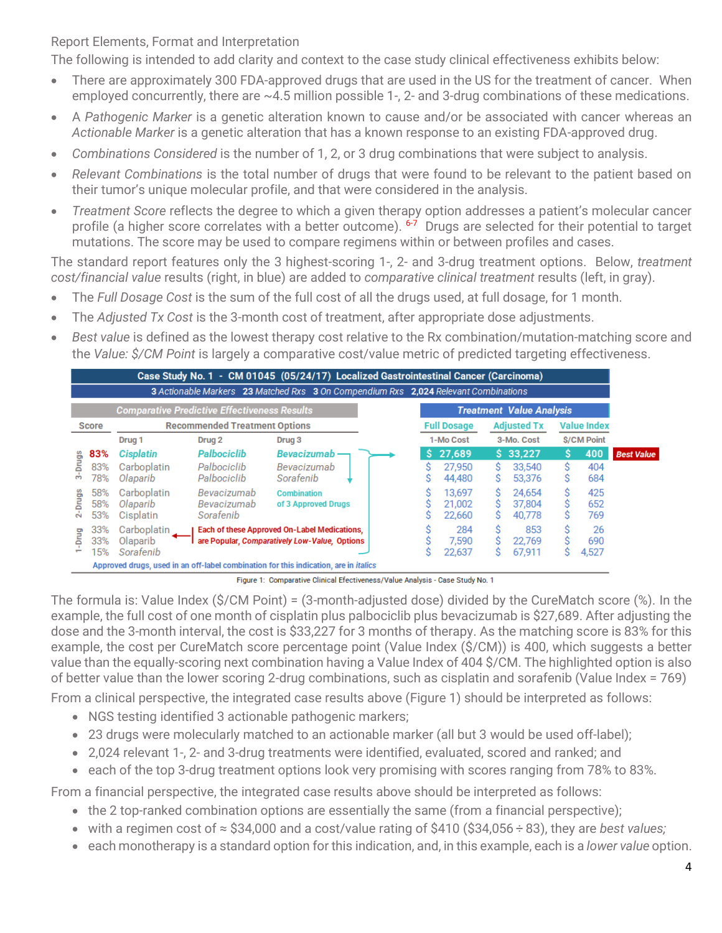# Report Elements, Format and Interpretation

The following is intended to add clarity and context to the case study clinical effectiveness exhibits below:

- There are approximately 300 FDA-approved drugs that are used in the US for the treatment of cancer. When employed concurrently, there are ~4.5 million possible 1-, 2- and 3-drug combinations of these medications.
- A *Pathogenic Marker* is a genetic alteration known to cause and/or be associated with cancer whereas an *Actionable Marker* is a genetic alteration that has a known response to an existing FDA-approved drug.
- *Combinations Considered* is the number of 1, 2, or 3 drug combinations that were subject to analysis.
- *Relevant Combinations* is the total number of drugs that were found to be relevant to the patient based on their tumor's unique molecular profile, and that were considered in the analysis.
- *Treatment Score* reflects the degree to which a given therapy option addresses a patient's molecular cancer profile (a higher score correlates with a better outcome). <sup>6-7</sup> Drugs are selected for their potential to target mutations. The score may be used to compare regimens within or between profiles and cases.

The standard report features only the 3 highest-scoring 1-, 2- and 3-drug treatment options. Below, *treatment cost/financial value* results (right, in blue) are added to *comparative clinical treatment* results (left, in gray).

- The *Full Dosage Cost* is the sum of the full cost of all the drugs used, at full dosage, for 1 month.
- The *Adjusted Tx Cost* is the 3-month cost of treatment, after appropriate dose adjustments.
- *Best value* is defined as the lowest therapy cost relative to the Rx combination/mutation-matching score and the *Value: \$/CM Point* is largely a comparative cost/value metric of predicted targeting effectiveness.

|                    |                                                      |                                      |                                                     | Case Study No. 1 - CM 01045 (05/24/17) Localized Gastrointestinal Cancer (Carcinoma)<br>3 Actionable Markers 23 Matched Rxs 3 On Compendium Rxs 2,024 Relevant Combinations |                            |             |                                 |                    |                    |                   |
|--------------------|------------------------------------------------------|--------------------------------------|-----------------------------------------------------|-----------------------------------------------------------------------------------------------------------------------------------------------------------------------------|----------------------------|-------------|---------------------------------|--------------------|--------------------|-------------------|
|                    |                                                      |                                      | <b>Comparative Predictive Effectiveness Results</b> |                                                                                                                                                                             |                            |             | <b>Treatment Value Analysis</b> |                    |                    |                   |
|                    | <b>Recommended Treatment Options</b><br><b>Score</b> |                                      |                                                     |                                                                                                                                                                             | <b>Full Dosage</b>         |             | <b>Adjusted Tx</b>              | <b>Value Index</b> |                    |                   |
|                    |                                                      | Drug <sub>1</sub>                    | Drug <sub>2</sub>                                   | Drug 3                                                                                                                                                                      | 1-Mo Cost                  |             | 3-Mo. Cost                      |                    | <b>\$/CM Point</b> |                   |
|                    | 83%                                                  | <b>Cisplatin</b>                     | Palbociclib                                         | Bevacizumab-                                                                                                                                                                | \$27.689                   |             | \$33.227                        | s                  | 400                | <b>Best Value</b> |
| <b>Drugs</b><br>က် | 83%<br>78%                                           | Carboplatin<br>Olaparib              | Palbociclib<br>Palbociclib                          | Bevacizumab<br>Sorafenib                                                                                                                                                    | 27.950<br>44.480           | Ś<br>S      | 33,540<br>53,376                | S                  | 404<br>684         |                   |
| <b>Drugs</b><br>ή  | 58%<br>58%<br>53%                                    | Carboplatin<br>Olaparib<br>Cisplatin | Bevacizumab<br>Bevacizumab<br>Sorafenib             | <b>Combination</b><br>of 3 Approved Drugs                                                                                                                                   | 13.697<br>21.002<br>22,660 | Ś<br>Ŝ<br>S | 24.654<br>37.804<br>40,778      |                    | 425<br>652<br>769  |                   |
| Drug               | 33%<br>33%<br>15%                                    | Carboplatin<br>Olaparib<br>Sorafenib |                                                     | Each of these Approved On-Label Medications,<br>are Popular, Comparatively Low-Value, Options                                                                               | 284<br>7.590<br>22,637     | Ŝ<br>Ś      | 853<br>22.769<br>67,911         |                    | 26<br>690<br>4,527 |                   |

Figure 1: Comparative Clinical Efectiveness/Value Analysis - Case Study No. 1

The formula is: Value Index (\$/CM Point) = (3-month-adjusted dose) divided by the CureMatch score (%). In the example, the full cost of one month of cisplatin plus palbociclib plus bevacizumab is \$27,689. After adjusting the dose and the 3-month interval, the cost is \$33,227 for 3 months of therapy. As the matching score is 83% for this example, the cost per CureMatch score percentage point (Value Index (\$/CM)) is 400, which suggests a better value than the equally-scoring next combination having a Value Index of 404 \$/CM. The highlighted option is also of better value than the lower scoring 2-drug combinations, such as cisplatin and sorafenib (Value Index = 769)

From a clinical perspective, the integrated case results above (Figure 1) should be interpreted as follows:

- NGS testing identified 3 actionable pathogenic markers;
- 23 drugs were molecularly matched to an actionable marker (all but 3 would be used off-label);
- 2,024 relevant 1-, 2- and 3-drug treatments were identified, evaluated, scored and ranked; and
- each of the top 3-drug treatment options look very promising with scores ranging from 78% to 83%.

From a financial perspective, the integrated case results above should be interpreted as follows:

- the 2 top-ranked combination options are essentially the same (from a financial perspective);
- with a regimen cost of ≈ \$34,000 and a cost/value rating of \$410 (\$34,056 ÷ 83), they are *best values;*
- each monotherapy is a standard option for this indication, and, in this example, each is a *lower value* option.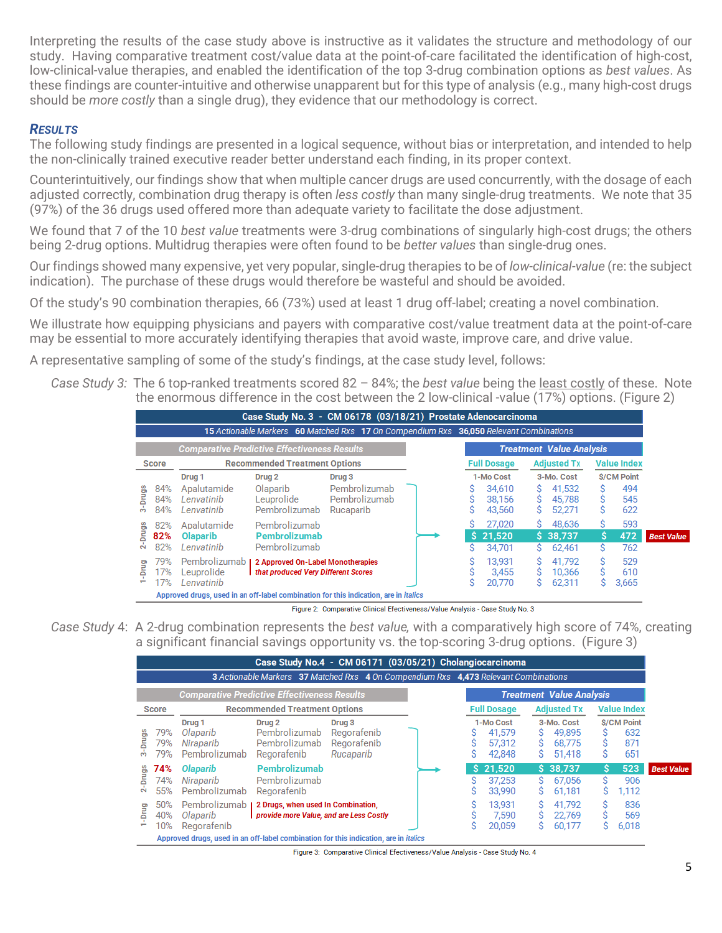Interpreting the results of the case study above is instructive as it validates the structure and methodology of our study. Having comparative treatment cost/value data at the point-of-care facilitated the identification of high-cost, low-clinical-value therapies, and enabled the identification of the top 3-drug combination options as *best values*. As these findings are counter-intuitive and otherwise unapparent but for this type of analysis (e.g., many high-cost drugs should be *more costly* than a single drug), they evidence that our methodology is correct.

# *RESULTS*

The following study findings are presented in a logical sequence, without bias or interpretation, and intended to help the non-clinically trained executive reader better understand each finding, in its proper context.

Counterintuitively, our findings show that when multiple cancer drugs are used concurrently, with the dosage of each adjusted correctly, combination drug therapy is often *less costly* than many single-drug treatments. We note that 35 (97%) of the 36 drugs used offered more than adequate variety to facilitate the dose adjustment.

We found that 7 of the 10 *best value* treatments were 3-drug combinations of singularly high-cost drugs; the others being 2-drug options. Multidrug therapies were often found to be *better values* than single-drug ones.

Our findings showed many expensive, yet very popular, single-drug therapies to be of *low-clinical-value* (re: the subject indication). The purchase of these drugs would therefore be wasteful and should be avoided.

Of the study's 90 combination therapies, 66 (73%) used at least 1 drug off-label; creating a novel combination.

We illustrate how equipping physicians and payers with comparative cost/value treatment data at the point-of-care may be essential to more accurately identifying therapies that avoid waste, improve care, and drive value.

A representative sampling of some of the study's findings, at the case study level, follows:

*Case Study 3:* The 6 top-ranked treatments scored 82 – 84%; the *best value* being the least costly of these. Note the enormous difference in the cost between the 2 low-clinical -value (17%) options. (Figure 2)

|                                        |                                           | Case Study No. 3 - CM 06178 (03/18/21) Prostate Adenocarcinoma<br>15 Actionable Markers 60 Matched Rxs 17 On Compendium Rxs 36,050 Relevant Combinations |                                             |  |                              |               |                                 |                    |                     |                   |
|----------------------------------------|-------------------------------------------|----------------------------------------------------------------------------------------------------------------------------------------------------------|---------------------------------------------|--|------------------------------|---------------|---------------------------------|--------------------|---------------------|-------------------|
|                                        |                                           | <b>Comparative Predictive Effectiveness Results</b>                                                                                                      |                                             |  |                              |               | <b>Treatment Value Analysis</b> |                    |                     |                   |
| <b>Score</b>                           | <b>Recommended Treatment Options</b>      |                                                                                                                                                          |                                             |  | <b>Full Dosage</b>           |               | <b>Adjusted Tx</b>              | <b>Value Index</b> |                     |                   |
|                                        | Drug <sub>1</sub>                         | Drug <sub>2</sub>                                                                                                                                        | Drug <sub>3</sub>                           |  | 1-Mo Cost                    |               | 3-Mo. Cost                      |                    | <b>S/CM Point</b>   |                   |
| 84%<br><b>Drugs</b><br>84%<br>84%<br>m | Apalutamide<br>Lenvatinib<br>Lenvatinib   | Olaparib<br>Leuprolide<br>Pembrolizumab                                                                                                                  | Pembrolizumab<br>Pembrolizumab<br>Rucaparib |  | 34.610<br>38.156<br>43,560   | s<br>Ŝ.<br>S. | 41,532<br>45,788<br>52,271      | S                  | 494<br>545<br>622   |                   |
| 82%<br><b>Drugs</b><br>82%<br>ά<br>82% | Apalutamide<br>Olaparib<br>Lenvatinib     | Pembrolizumab<br>Pembrolizumab<br>Pembrolizumab                                                                                                          |                                             |  | 27.020<br>\$21.520<br>34.701 | S.<br>S.      | 48.636<br>\$38.737<br>62.461    | s<br>Ŝ.<br>S       | 593<br>472<br>762   | <b>Best Value</b> |
| 79%<br>Drug<br>17%<br>÷<br>17%         | Pembrolizumab<br>Leuprolide<br>Lenvatinib | 2 Approved On-Label Monotherapies<br>that produced Very Different Scores                                                                                 |                                             |  | 13.931<br>3.455<br>20,770    | s<br>S        | 41.792<br>10,366<br>62,311      |                    | 529<br>610<br>3,665 |                   |

Figure 2: Comparative Clinical Efectiveness/Value Analysis - Case Study No. 3

*Case Study* 4: A 2-drug combination represents the *best value,* with a comparatively high score of 74%, creating a significant financial savings opportunity vs. the top-scoring 3-drug options. (Figure 3)

|                                                                                             |                                                      |                                                             | Case Study No.4 - CM 06171 (03/05/21) Cholangiocarcinoma<br>3 Actionable Markers 37 Matched Rxs 4 On Compendium Rxs 4,473 Relevant Combinations |                                                              |  |                    |                                         |             |                                          |                    |                                        |                   |
|---------------------------------------------------------------------------------------------|------------------------------------------------------|-------------------------------------------------------------|-------------------------------------------------------------------------------------------------------------------------------------------------|--------------------------------------------------------------|--|--------------------|-----------------------------------------|-------------|------------------------------------------|--------------------|----------------------------------------|-------------------|
|                                                                                             |                                                      |                                                             | <b>Comparative Predictive Effectiveness Results</b>                                                                                             |                                                              |  |                    |                                         |             | <b>Treatment Value Analysis</b>          |                    |                                        |                   |
|                                                                                             | <b>Recommended Treatment Options</b><br><b>Score</b> |                                                             |                                                                                                                                                 |                                                              |  | <b>Full Dosage</b> |                                         |             | <b>Adjusted Tx</b>                       | <b>Value Index</b> |                                        |                   |
| <b>Drugs</b><br>ക്                                                                          | 79%<br>79%<br>79%                                    | Drug <sub>1</sub><br>Olaparib<br>Niraparib<br>Pembrolizumab | Drug <sub>2</sub><br>Pembrolizumab<br>Pembrolizumab<br>Regorafenib                                                                              | Drug <sub>3</sub><br>Regorafenib<br>Regorafenib<br>Rucaparib |  |                    | 1-Mo Cost<br>41.579<br>57.312<br>42.848 | S<br>S<br>S | 3-Mo. Cost<br>49.895<br>68.775<br>51,418 | S                  | <b>S/CM Point</b><br>632<br>871<br>651 |                   |
| <b>Drugs</b><br>$\tilde{\mathbf{z}}$                                                        | 74%<br>74%<br>55%                                    | Olaparib<br>Niraparib<br>Pembrolizumab                      | Pembrolizumab<br>Pembrolizumab<br>Regorafenib                                                                                                   |                                                              |  |                    | \$21.520<br>37.253<br>33,990            | s<br>S      | $S$ 38.737<br>67.056<br>61.181           | Ŝ<br>S             | 523<br>906<br>1,112                    | <b>Best Value</b> |
| prug-                                                                                       | 50%<br>40%<br>10%                                    | Pembrolizumab<br>Olaparib<br>Regorafenib                    | 2 Drugs, when used In Combination,<br>provide more Value, and are Less Costly                                                                   |                                                              |  |                    | 13.931<br>7.590<br>20.059               | Ś           | 41.792<br>22.769<br>60,177               |                    | 836<br>569<br>6,018                    |                   |
| Approved drugs, used in an off-label combination for this indication, are in <i>italics</i> |                                                      |                                                             |                                                                                                                                                 |                                                              |  |                    |                                         |             |                                          |                    |                                        |                   |

Figure 3: Comparative Clinical Efectiveness/Value Analysis - Case Study No. 4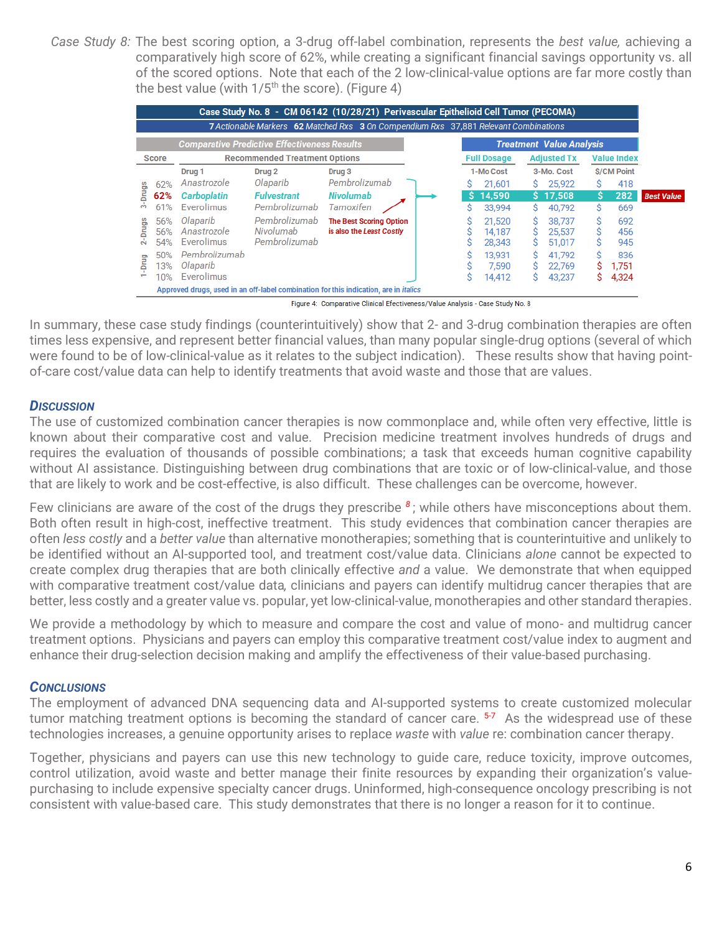*Case Study 8:* The best scoring option, a 3-drug off-label combination, represents the *best value,* achieving a comparatively high score of 62%, while creating a significant financial savings opportunity vs. all of the scored options. Note that each of the 2 low-clinical-value options are far more costly than the best value (with  $1/5<sup>th</sup>$  the score). (Figure 4)

|              |                                                      |                   |                                                     | Case Study No. 8 - CM 06142 (10/28/21) Perivascular Epithelioid Cell Tumor (PECOMA)         |    |                    |    |                                 |                    |                   |                   |
|--------------|------------------------------------------------------|-------------------|-----------------------------------------------------|---------------------------------------------------------------------------------------------|----|--------------------|----|---------------------------------|--------------------|-------------------|-------------------|
|              |                                                      |                   |                                                     | 7 Actionable Markers 62 Matched Rxs 3 On Compendium Rxs 37,881 Relevant Combinations        |    |                    |    |                                 |                    |                   |                   |
|              |                                                      |                   | <b>Comparative Predictive Effectiveness Results</b> |                                                                                             |    |                    |    | <b>Treatment Value Analysis</b> |                    |                   |                   |
|              | <b>Recommended Treatment Options</b><br><b>Score</b> |                   |                                                     |                                                                                             |    | <b>Full Dosage</b> |    | <b>Adjusted Tx</b>              | <b>Value Index</b> |                   |                   |
|              |                                                      | Drug <sub>1</sub> | Drug <sub>2</sub>                                   | Drug <sub>3</sub>                                                                           |    | 1-Mo Cost          |    | 3-Mo. Cost                      |                    | <b>S/CM Point</b> |                   |
|              | 62%                                                  | Anastrozole       | Olaparib                                            | Pembrolizumab                                                                               |    | 21,601             | S. | 25,922                          | Ś                  | 418               |                   |
| -Drugs       | 62%                                                  | Carboplatin       | <b>Fulvestrant</b>                                  | <b>Nivolumab</b>                                                                            | S. | 14.590             |    | \$17,508                        | S                  | 282               | <b>Best Value</b> |
| m            | 61%                                                  | Everolimus        | Pembrolizumab                                       | Tamoxifen                                                                                   | Ś  | 33,994             | S. | 40.792                          | Ś                  | 669               |                   |
|              | 56%                                                  | Olaparib          | Pembrolizumab                                       | <b>The Best Scoring Option</b>                                                              |    | 21,520             | s  | 38,737                          |                    | 692               |                   |
| <b>Drugs</b> | 56%                                                  | Anastrozole       | Nivolumab                                           | is also the Least Costly                                                                    |    | 14.187             | S  | 25.537                          |                    | 456               |                   |
| $\sim$       | 54%                                                  | Everolimus        | Pembrolizumab                                       |                                                                                             |    | 28,343             | s  | 51,017                          |                    | 945               |                   |
|              | 50%                                                  | Pembrolizumab     |                                                     |                                                                                             |    | 13,931             | s  | 41.792                          |                    | 836               |                   |
| Drug         | 13%                                                  | Olaparib          |                                                     |                                                                                             |    | 7.590              | s  | 22,769                          |                    | 1.751             |                   |
|              | 10%                                                  | Everolimus        |                                                     |                                                                                             | S  | 14,412             | s  | 43.237                          | S                  | 4,324             |                   |
|              |                                                      |                   |                                                     | Approved drugs, used in an off-label combination for this indication, are in <i>italics</i> |    |                    |    |                                 |                    |                   |                   |

Figure 4: Comparative Clinical Efectiveness/Value Analysis - Case Study No. 8

In summary, these case study findings (counterintuitively) show that 2- and 3-drug combination therapies are often times less expensive, and represent better financial values, than many popular single-drug options (several of which were found to be of low-clinical-value as it relates to the subject indication). These results show that having pointof-care cost/value data can help to identify treatments that avoid waste and those that are values.

#### *DISCUSSION*

The use of customized combination cancer therapies is now commonplace and, while often very effective, little is known about their comparative cost and value. Precision medicine treatment involves hundreds of drugs and requires the evaluation of thousands of possible combinations; a task that exceeds human cognitive capability without AI assistance. Distinguishing between drug combinations that are toxic or of low-clinical-value, and those that are likely to work and be cost-effective, is also difficult. These challenges can be overcome, however.

Few clinicians are aware of the cost of the drugs they prescribe  $^8$ ; while others have misconceptions about them. Both often result in high-cost, ineffective treatment. This study evidences that combination cancer therapies are often *less costly* and a *better value* than alternative monotherapies; something that is counterintuitive and unlikely to be identified without an AI-supported tool, and treatment cost/value data. Clinicians *alone* cannot be expected to create complex drug therapies that are both clinically effective *and* a value. We demonstrate that when equipped with comparative treatment cost/value data*,* clinicians and payers can identify multidrug cancer therapies that are better, less costly and a greater value vs. popular, yet low-clinical-value, monotherapies and other standard therapies.

We provide a methodology by which to measure and compare the cost and value of mono- and multidrug cancer treatment options. Physicians and payers can employ this comparative treatment cost/value index to augment and enhance their drug-selection decision making and amplify the effectiveness of their value-based purchasing.

# *CONCLUSIONS*

The employment of advanced DNA sequencing data and AI-supported systems to create customized molecular tumor matching treatment options is becoming the standard of cancer care. <sup>5-7</sup> As the widespread use of these technologies increases, a genuine opportunity arises to replace *waste* with *value* re: combination cancer therapy.

Together, physicians and payers can use this new technology to guide care, reduce toxicity, improve outcomes, control utilization, avoid waste and better manage their finite resources by expanding their organization's valuepurchasing to include expensive specialty cancer drugs. Uninformed, high-consequence oncology prescribing is not consistent with value-based care. This study demonstrates that there is no longer a reason for it to continue.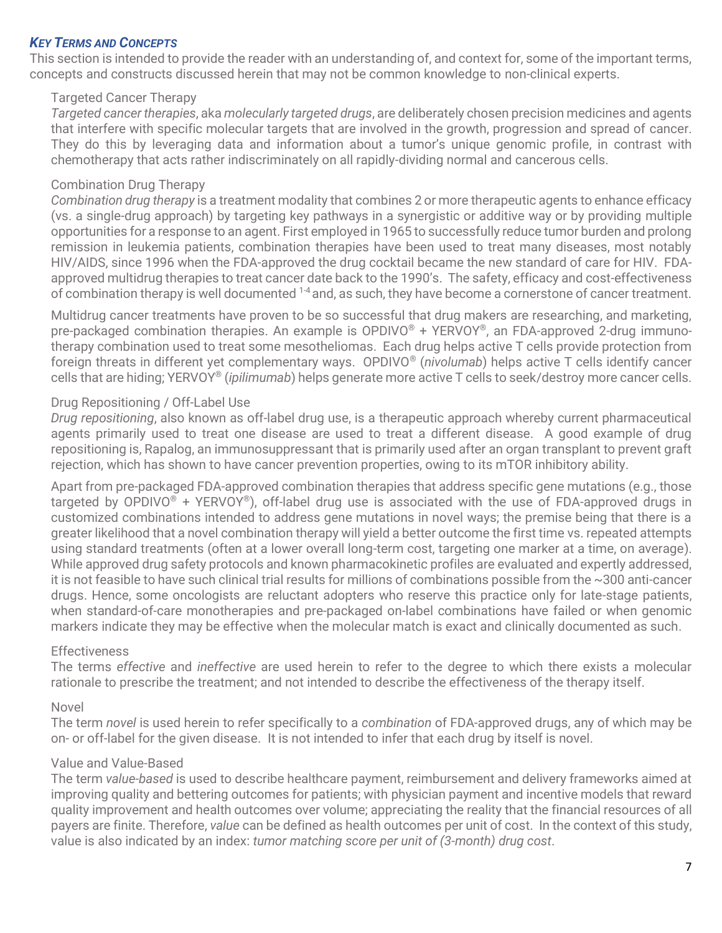### *KEY TERMS AND CONCEPTS*

This section is intended to provide the reader with an understanding of, and context for, some of the important terms, concepts and constructs discussed herein that may not be common knowledge to non-clinical experts.

### Targeted Cancer Therapy

*Targeted cancer therapies*, aka *molecularly targeted drugs*, are deliberately chosen precision medicines and agents that interfere with specific molecular targets that are involved in the growth, progression and spread of cancer. They do this by leveraging data and information about a tumor's unique genomic profile, in contrast with chemotherapy that acts rather indiscriminately on all rapidly-dividing normal and cancerous cells.

### Combination Drug Therapy

*Combination drug therapy* is a treatment modality that combines 2 or more therapeutic agents to enhance efficacy (vs. a single-drug approach) by targeting key pathways in a synergistic or additive way or by providing multiple opportunities for a response to an agent. First employed in 1965 to successfully reduce tumor burden and prolong remission in leukemia patients, combination therapies have been used to treat many diseases, most notably HIV/AIDS, since 1996 when the FDA-approved the drug cocktail became the new standard of care for HIV. FDAapproved multidrug therapies to treat cancer date back to the 1990's. The safety, efficacy and cost-effectiveness of combination therapy is well documented <sup>1-4</sup> and, as such, they have become a cornerstone of cancer treatment.

Multidrug cancer treatments have proven to be so successful that drug makers are researching, and marketing, pre-packaged combination therapies. An example is OPDIVO® + YERVOY®, an FDA-approved 2-drug immunotherapy combination used to treat some mesotheliomas. Each drug helps active T cells provide protection from foreign threats in different yet complementary ways. OPDIVO® (*nivolumab*) helps active T cells identify cancer cells that are hiding; YERVOY® (*ipilimumab*) helps generate more active T cells to seek/destroy more cancer cells.

### Drug Repositioning / Off-Label Use

*Drug repositioning*, also known as off-label drug use, is a therapeutic approach whereby current pharmaceutical agents primarily used to treat one disease are used to treat a different disease. A good example of drug repositioning is, Rapalog, an immunosuppressant that is primarily used after an organ transplant to prevent graft rejection, which has shown to have cancer prevention properties, owing to its mTOR inhibitory ability.

Apart from pre-packaged FDA-approved combination therapies that address specific gene mutations (e.g., those targeted by OPDIVO<sup>®</sup> + YERVOY<sup>®</sup>), off-label drug use is associated with the use of FDA-approved drugs in customized combinations intended to address gene mutations in novel ways; the premise being that there is a greater likelihood that a novel combination therapy will yield a better outcome the first time vs. repeated attempts using standard treatments (often at a lower overall long-term cost, targeting one marker at a time, on average). While approved drug safety protocols and known pharmacokinetic profiles are evaluated and expertly addressed, it is not feasible to have such clinical trial results for millions of combinations possible from the ~300 anti-cancer drugs. Hence, some oncologists are reluctant adopters who reserve this practice only for late-stage patients, when standard-of-care monotherapies and pre-packaged on-label combinations have failed or when genomic markers indicate they may be effective when the molecular match is exact and clinically documented as such.

#### **Effectiveness**

The terms *effective* and *ineffective* are used herein to refer to the degree to which there exists a molecular rationale to prescribe the treatment; and not intended to describe the effectiveness of the therapy itself.

#### Novel

The term *novel* is used herein to refer specifically to a *combination* of FDA-approved drugs, any of which may be on- or off-label for the given disease. It is not intended to infer that each drug by itself is novel.

#### Value and Value-Based

The term *value-based* is used to describe healthcare payment, reimbursement and delivery frameworks aimed at improving quality and bettering outcomes for patients; with physician payment and incentive models that reward quality improvement and health outcomes over volume; appreciating the reality that the financial resources of all payers are finite. Therefore, *value* can be defined as health outcomes per unit of cost. In the context of this study, value is also indicated by an index: *tumor matching score per unit of (3-month) drug cost*.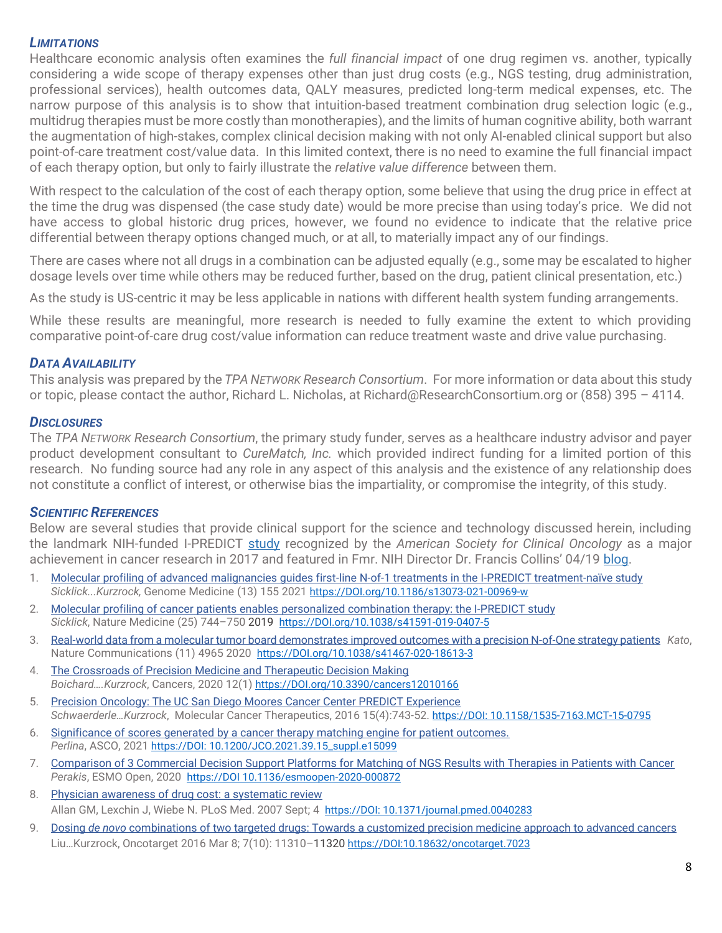#### *LIMITATIONS*

Healthcare economic analysis often examines the *full financial impact* of one drug regimen vs. another, typically considering a wide scope of therapy expenses other than just drug costs (e.g., NGS testing, drug administration, professional services), health outcomes data, QALY measures, predicted long-term medical expenses, etc. The narrow purpose of this analysis is to show that intuition-based treatment combination drug selection logic (e.g., multidrug therapies must be more costly than monotherapies), and the limits of human cognitive ability, both warrant the augmentation of high-stakes, complex clinical decision making with not only AI-enabled clinical support but also point-of-care treatment cost/value data. In this limited context, there is no need to examine the full financial impact of each therapy option, but only to fairly illustrate the *relative value difference* between them.

With respect to the calculation of the cost of each therapy option, some believe that using the drug price in effect at the time the drug was dispensed (the case study date) would be more precise than using today's price. We did not have access to global historic drug prices, however, we found no evidence to indicate that the relative price differential between therapy options changed much, or at all, to materially impact any of our findings.

There are cases where not all drugs in a combination can be adjusted equally (e.g., some may be escalated to higher dosage levels over time while others may be reduced further, based on the drug, patient clinical presentation, etc.)

As the study is US-centric it may be less applicable in nations with different health system funding arrangements.

While these results are meaningful, more research is needed to fully examine the extent to which providing comparative point-of-care drug cost/value information can reduce treatment waste and drive value purchasing.

### *DATA AVAILABILITY*

This analysis was prepared by the *TPA NETWORK Research Consortium*. For more information or data about this study or topic, please contact the author, Richard L. Nicholas, at Richard@ResearchConsortium.org or (858) 395 – 4114.

#### *DISCLOSURES*

The *TPA NETWORK Research Consortium*, the primary study funder, serves as a healthcare industry advisor and payer product development consultant to *CureMatch, Inc.* which provided indirect funding for a limited portion of this research. No funding source had any role in any aspect of this analysis and the existence of any relationship does not constitute a conflict of interest, or otherwise bias the impartiality, or compromise the integrity, of this study.

#### *SCIENTIFIC REFERENCES*

Below are several studies that provide clinical support for the science and technology discussed herein, including the landmark NIH-funded I-PREDICT [study](https://pubmed.ncbi.nlm.nih.gov/31011206/) recognized by the *American Society for Clinical Oncology* as a major achievement in cancer research in 2017 and featured in Fmr. NIH Director Dr. Francis Collins' 04/19 [blog.](https://directorsblog.nih.gov/2019/04/30/personalized-combination-therapies-yield-better-cancer-outcomes/#comments)

- 1. [Molecular profiling of advanced malignancies guides first-line N-of-1 treatments in the I-PREDICT treatment-naïve study](https://mct.aacrjournals.org/content/15/4/743) *Sicklick...Kurzrock,* Genome Medicine (13) 155 2021 [https://DOI.org/10.1186/s13073-021-00969-w](https://doi.org/10.1186/s13073-021-00969-w)
- 2. [Molecular profiling of cancer patients enables personalized combination therapy: the I-PREDICT study](https://www.nature.com/articles/s41591-019-0407-5)  *Sicklick*, Nature Medicine (25) 744–750 2019 [https://DOI.org/10.1038/s41591-019-0407-5](https://doi.org/10.1038/s41591-019-0407-5)
- 3. [Real-world data from a molecular tumor board demonstrates improved outcomes with a precision N-of-One strategy patients](https://www.nature.com/articles/s41467-020-18613-3) *Kato*, Nature Communications (11) 4965 2020 [https://DOI.org/10.1038/s41467-020-18613-3](https://doi.org/10.1038/s41467-020-18613-3)
- 4. [The Crossroads of Precision Medicine and Therapeutic Decision Making](https://www.mdpi.com/2072-6694/12/1/166/htm) *Boichard….Kurzrock*, Cancers, 2020 12(1) [https://DOI.org/10.3390/cancers12010166](https://doi.org/10.3390/cancers12010166)
- 5. [Precision Oncology: The UC San Diego Moores Cancer Center PREDICT Experience](https://pubmed.ncbi.nlm.nih.gov/26873727/) *Schwaerderle…Kurzrock*, Molecular Cancer Therapeutics, 2016 15(4):743-52. [https://DOI: 10.1158/1535-7163.MCT-15-0795](https://DOI:%2010.1158/1535-7163.MCT-15-0795)
- 6. [Significance of scores generated by a cancer therapy matching engine for patient outcomes.](https://meetinglibrary.asco.org/record/197532/abstract) *Perlina*, ASCO, 2021 [https://DOI: 10.1200/JCO.2021.39.15\\_suppl.e15099](https://DOI:%2010.1200/JCO.2021.39.15_suppl.e15099)
- 7. [Comparison of 3 Commercial Decision Support Platforms for Matching of NGS Results with Therapies in Patients with Cancer](https://www.ncbi.nlm.nih.gov/pmc/articles/PMC7513637/) *Perakis*, ESMO Open, 2020 https://DOI 10.1136/esmoopen-2020-000872
- 8. [Physician awareness of drug cost: a systematic review](https://pubmed.ncbi.nlm.nih.gov/17896856/) Allan GM, Lexchin J, Wiebe N. PLoS Med. 2007 Sept; 4 [https://DOI: 10.1371/journal.pmed.0040283](https://DOI:%2010.1371/journal.pmed.0040283)
- 9. Dosing *de novo* [combinations](https://www.ncbi.nlm.nih.gov/pmc/articles/PMC4905475/pdf/oncotarget-07-11310.pdf) of two targeted drugs: Towards a customized precision medicine approach to advanced cancers Liu…Kurzrock, Oncotarget 2016 Mar 8; 7(10): 11310–11320 <https://DOI:10.18632/oncotarget.7023>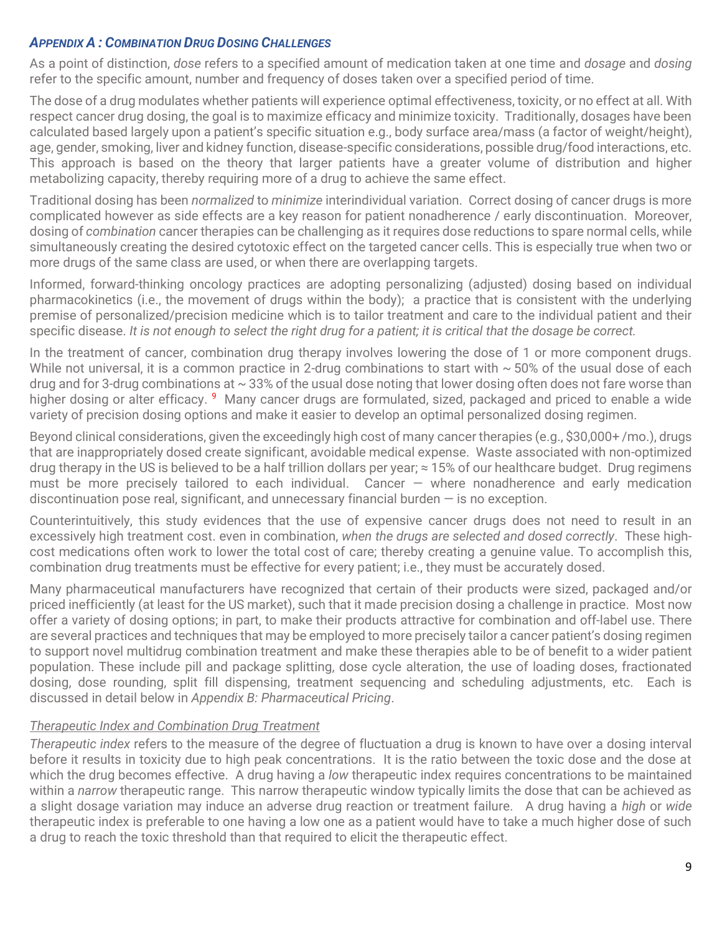# *APPENDIX A : COMBINATION DRUG DOSING CHALLENGES*

As a point of distinction, *dose* refers to a specified amount of medication taken at one time and *dosage* and *dosing* refer to the specific amount, number and frequency of doses taken over a specified period of time.

The dose of a drug modulates whether patients will experience optimal effectiveness, toxicity, or no effect at all. With respect cancer drug dosing, the goal is to maximize efficacy and minimize toxicity. Traditionally, dosages have been calculated based largely upon a patient's specific situation e.g., body surface area/mass (a factor of weight/height), age, gender, smoking, liver and kidney function, disease-specific considerations, possible drug/food interactions, etc. This approach is based on the theory that larger patients have a greater volume of distribution and higher metabolizing capacity, thereby requiring more of a drug to achieve the same effect.

Traditional dosing has been *normalized* to *minimize* interindividual variation. Correct dosing of cancer drugs is more complicated however as side effects are a key reason for patient nonadherence / early discontinuation. Moreover, dosing of *combination* cancer therapies can be challenging as it requires dose reductions to spare normal cells, while simultaneously creating the desired cytotoxic effect on the targeted cancer cells. This is especially true when two or more drugs of the same class are used, or when there are overlapping targets.

Informed, forward-thinking oncology practices are adopting personalizing (adjusted) dosing based on individual pharmacokinetics (i.e., the movement of drugs within the body); a practice that is consistent with the underlying premise of personalized/precision medicine which is to tailor treatment and care to the individual patient and their specific disease. *It is not enough to select the right drug for a patient; it is critical that the dosage be correct.*

In the treatment of cancer, combination drug therapy involves lowering the dose of 1 or more component drugs. While not universal, it is a common practice in 2-drug combinations to start with  $\sim$  50% of the usual dose of each drug and for 3-drug combinations at  $\sim$  33% of the usual dose noting that lower dosing often does not fare worse than higher dosing or alter efficacy. <sup>9</sup> Many cancer drugs are formulated, sized, packaged and priced to enable a wide variety of precision dosing options and make it easier to develop an optimal personalized dosing regimen.

Beyond clinical considerations, given the exceedingly high cost of many cancer therapies (e.g., \$30,000+ /mo.), drugs that are inappropriately dosed create significant, avoidable medical expense. Waste associated with non-optimized drug therapy in the US is believed to be a half trillion dollars per year;  $\approx 15\%$  of our healthcare budget. Drug regimens must be more precisely tailored to each individual. Cancer — where nonadherence and early medication discontinuation pose real, significant, and unnecessary financial burden  $-$  is no exception.

Counterintuitively, this study evidences that the use of expensive cancer drugs does not need to result in an excessively high treatment cost. even in combination, *when the drugs are selected and dosed correctly*. These highcost medications often work to lower the total cost of care; thereby creating a genuine value. To accomplish this, combination drug treatments must be effective for every patient; i.e., they must be accurately dosed.

Many pharmaceutical manufacturers have recognized that certain of their products were sized, packaged and/or priced inefficiently (at least for the US market), such that it made precision dosing a challenge in practice. Most now offer a variety of dosing options; in part, to make their products attractive for combination and off-label use. There are several practices and techniques that may be employed to more precisely tailor a cancer patient's dosing regimen to support novel multidrug combination treatment and make these therapies able to be of benefit to a wider patient population. These include pill and package splitting, dose cycle alteration, the use of loading doses, fractionated dosing, dose rounding, split fill dispensing, treatment sequencing and scheduling adjustments, etc. Each is discussed in detail below in *Appendix B: Pharmaceutical Pricing*.

# *Therapeutic Index and Combination Drug Treatment*

*Therapeutic index* refers to the measure of the degree of fluctuation a drug is known to have over a dosing interval before it results in toxicity due to high peak concentrations. It is the ratio between the toxic dose and the dose at which the drug becomes effective. A drug having a *low* therapeutic index requires concentrations to be maintained within a *narrow* therapeutic range. This narrow therapeutic window typically limits the dose that can be achieved as a slight dosage variation may induce an adverse drug reaction or treatment failure. A drug having a *high* or *wide* therapeutic index is preferable to one having a low one as a patient would have to take a much higher dose of such a drug to reach the toxic threshold than that required to elicit the therapeutic effect.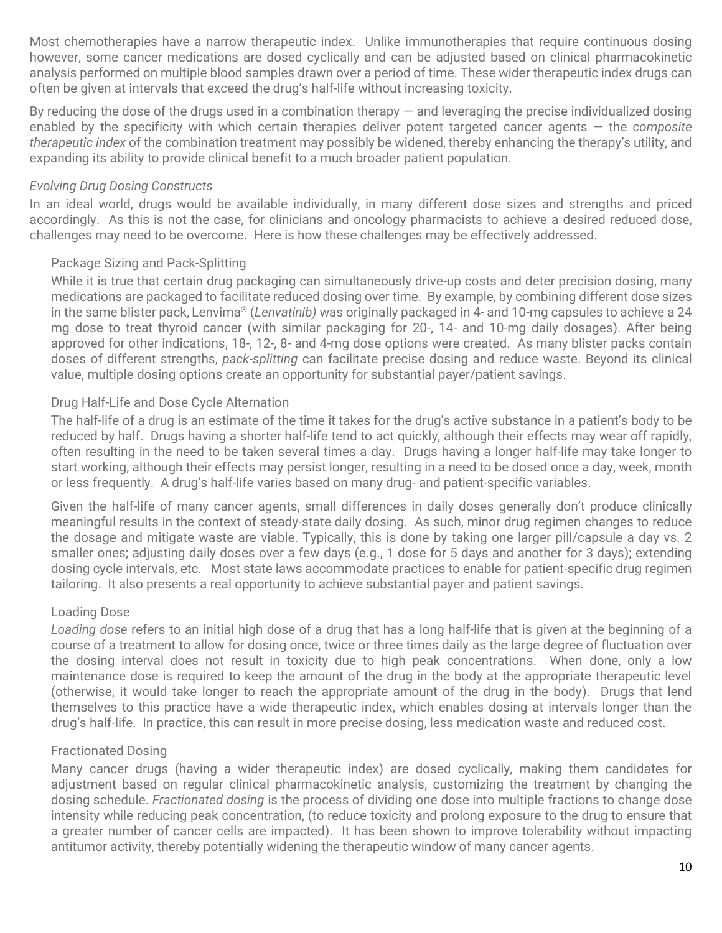Most chemotherapies have a narrow therapeutic index. Unlike immunotherapies that require continuous dosing however, some cancer medications are dosed cyclically and can be adjusted based on clinical pharmacokinetic analysis performed on multiple blood samples drawn over a period of time. These wider therapeutic index drugs can often be given at intervals that exceed the drug's half-life without increasing toxicity.

By reducing the dose of the drugs used in a combination therapy  $-$  and leveraging the precise individualized dosing enabled by the specificity with which certain therapies deliver potent targeted cancer agents — the *composite therapeutic index* of the combination treatment may possibly be widened, thereby enhancing the therapy's utility, and expanding its ability to provide clinical benefit to a much broader patient population.

### *Evolving Drug Dosing Constructs*

In an ideal world, drugs would be available individually, in many different dose sizes and strengths and priced accordingly. As this is not the case, for clinicians and oncology pharmacists to achieve a desired reduced dose, challenges may need to be overcome. Here is how these challenges may be effectively addressed.

# Package Sizing and Pack-Splitting

While it is true that certain drug packaging can simultaneously drive-up costs and deter precision dosing, many medications are packaged to facilitate reduced dosing over time. By example, by combining different dose sizes in the same blister pack, Lenvima® (*Lenvatinib)* was originally packaged in 4- and 10-mg capsules to achieve a 24 mg dose to treat thyroid cancer (with similar packaging for 20-, 14- and 10-mg daily dosages). After being approved for other indications, 18-, 12-, 8- and 4-mg dose options were created. As many blister packs contain doses of different strengths, *pack-splitting* can facilitate precise dosing and reduce waste. Beyond its clinical value, multiple dosing options create an opportunity for substantial payer/patient savings.

# Drug Half-Life and Dose Cycle Alternation

The half-life of a drug is an estimate of the time it takes for the drug's active substance in a patient's body to be reduced by half. Drugs having a shorter half-life tend to act quickly, although their effects may wear off rapidly, often resulting in the need to be taken several times a day. Drugs having a longer half-life may take longer to start working, although their effects may persist longer, resulting in a need to be dosed once a day, week, month or less frequently. A drug's half-life varies based on many drug- and patient-specific variables.

Given the half-life of many cancer agents, small differences in daily doses generally don't produce clinically meaningful results in the context of steady-state daily dosing. As such, minor drug regimen changes to reduce the dosage and mitigate waste are viable. Typically, this is done by taking one larger pill/capsule a day vs. 2 smaller ones; adjusting daily doses over a few days (e.g., 1 dose for 5 days and another for 3 days); extending dosing cycle intervals, etc. Most state laws accommodate practices to enable for patient-specific drug regimen tailoring. It also presents a real opportunity to achieve substantial payer and patient savings.

# Loading Dose

*Loading dose* refers to an initial high dose of a drug that has a long half-life that is given at the beginning of a course of a treatment to allow for dosing once, twice or three times daily as the large degree of fluctuation over the dosing interval does not result in toxicity due to high peak concentrations. When done, only a low maintenance dose is required to keep the amount of the drug in the body at the appropriate therapeutic level (otherwise, it would take longer to reach the appropriate amount of the drug in the body). Drugs that lend themselves to this practice have a wide therapeutic index, which enables dosing at intervals longer than the drug's half-life. In practice, this can result in more precise dosing, less medication waste and reduced cost.

# Fractionated Dosing

Many cancer drugs (having a wider therapeutic index) are dosed cyclically, making them candidates for adjustment based on regular clinical pharmacokinetic analysis, customizing the treatment by changing the dosing schedule. *Fractionated dosing* is the process of dividing one dose into multiple fractions to change dose intensity while reducing peak concentration, (to reduce toxicity and prolong exposure to the drug to ensure that a greater number of cancer cells are impacted). It has been shown to improve tolerability without impacting antitumor activity, thereby potentially widening the therapeutic window of many cancer agents.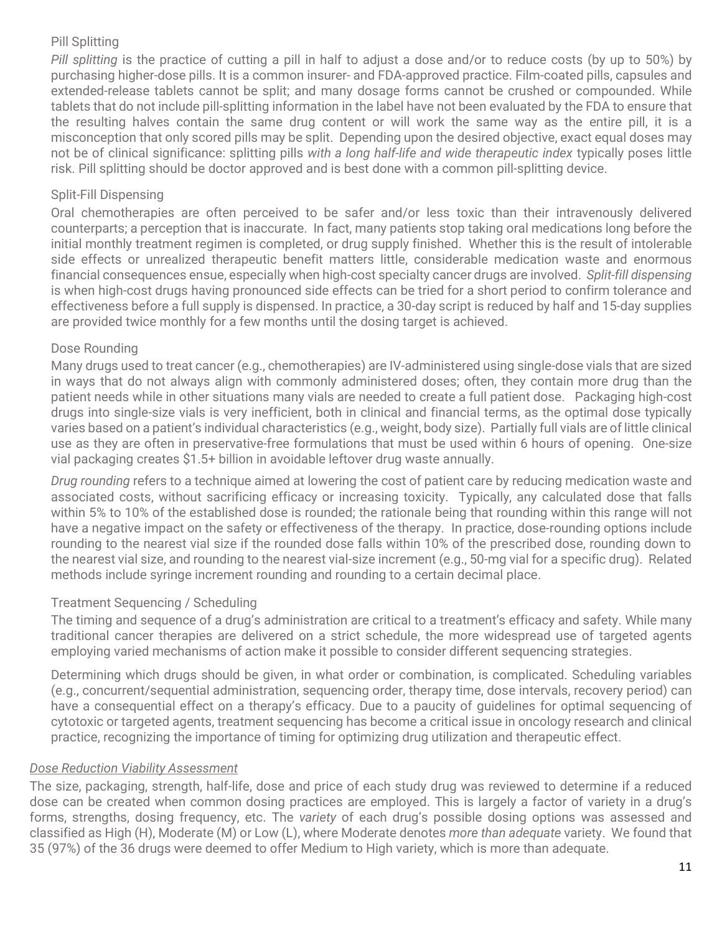# Pill Splitting

*Pill splitting* is the practice of cutting a pill in half to adjust a dose and/or to reduce costs (by up to 50%) by purchasing higher-dose pills. It is a common insurer- and FDA-approved practice. Film-coated pills, capsules and extended-release tablets cannot be split; and many dosage forms cannot be crushed or compounded. While tablets that do not include pill-splitting information in the label have not been evaluated by the FDA to ensure that the resulting halves contain the same drug content or will work the same way as the entire pill, it is a misconception that only scored pills may be split. Depending upon the desired objective, exact equal doses may not be of clinical significance: splitting pills *with a long half-life and wide therapeutic index* typically poses little risk. Pill splitting should be doctor approved and is best done with a common pill-splitting device.

# Split-Fill Dispensing

Oral chemotherapies are often perceived to be safer and/or less toxic than their intravenously delivered counterparts; a perception that is inaccurate. In fact, many patients stop taking oral medications long before the initial monthly treatment regimen is completed, or drug supply finished. Whether this is the result of intolerable side effects or unrealized therapeutic benefit matters little, considerable medication waste and enormous financial consequences ensue, especially when high-cost specialty cancer drugs are involved. *Split-fill dispensing* is when high-cost drugs having pronounced side effects can be tried for a short period to confirm tolerance and effectiveness before a full supply is dispensed. In practice, a 30-day script is reduced by half and 15-day supplies are provided twice monthly for a few months until the dosing target is achieved.

### Dose Rounding

Many drugs used to treat cancer (e.g., chemotherapies) are IV-administered using single-dose vials that are sized in ways that do not always align with commonly administered doses; often, they contain more drug than the patient needs while in other situations many vials are needed to create a full patient dose. Packaging high-cost drugs into single-size vials is very inefficient, both in clinical and financial terms, as the optimal dose typically varies based on a patient's individual characteristics (e.g., weight, body size). Partially full vials are of little clinical use as they are often in preservative-free formulations that must be used within 6 hours of opening. One-size vial packaging creates \$1.5+ billion in avoidable leftover drug waste annually.

*Drug rounding* refers to a technique aimed at lowering the cost of patient care by reducing medication waste and associated costs, without sacrificing efficacy or increasing toxicity. Typically, any calculated dose that falls within 5% to 10% of the established dose is rounded; the rationale being that rounding within this range will not have a negative impact on the safety or effectiveness of the therapy. In practice, dose-rounding options include rounding to the nearest vial size if the rounded dose falls within 10% of the prescribed dose, rounding down to the nearest vial size, and rounding to the nearest vial-size increment (e.g., 50-mg vial for a specific drug). Related methods include syringe increment rounding and rounding to a certain decimal place.

# Treatment Sequencing / Scheduling

The timing and sequence of a drug's administration are critical to a treatment's efficacy and safety. While many traditional cancer therapies are delivered on a strict schedule, the more widespread use of targeted agents employing varied mechanisms of action make it possible to consider different sequencing strategies.

Determining which drugs should be given, in what order or combination, is complicated. Scheduling variables (e.g., concurrent/sequential administration, sequencing order, therapy time, dose intervals, recovery period) can have a consequential effect on a therapy's efficacy. Due to a paucity of guidelines for optimal sequencing of cytotoxic or targeted agents, treatment sequencing has become a critical issue in oncology research and clinical practice, recognizing the importance of timing for optimizing drug utilization and therapeutic effect.

#### *Dose Reduction Viability Assessment*

The size, packaging, strength, half-life, dose and price of each study drug was reviewed to determine if a reduced dose can be created when common dosing practices are employed. This is largely a factor of variety in a drug's forms, strengths, dosing frequency, etc. The *variety* of each drug's possible dosing options was assessed and classified as High (H), Moderate (M) or Low (L), where Moderate denotes *more than adequate* variety. We found that 35 (97%) of the 36 drugs were deemed to offer Medium to High variety, which is more than adequate.